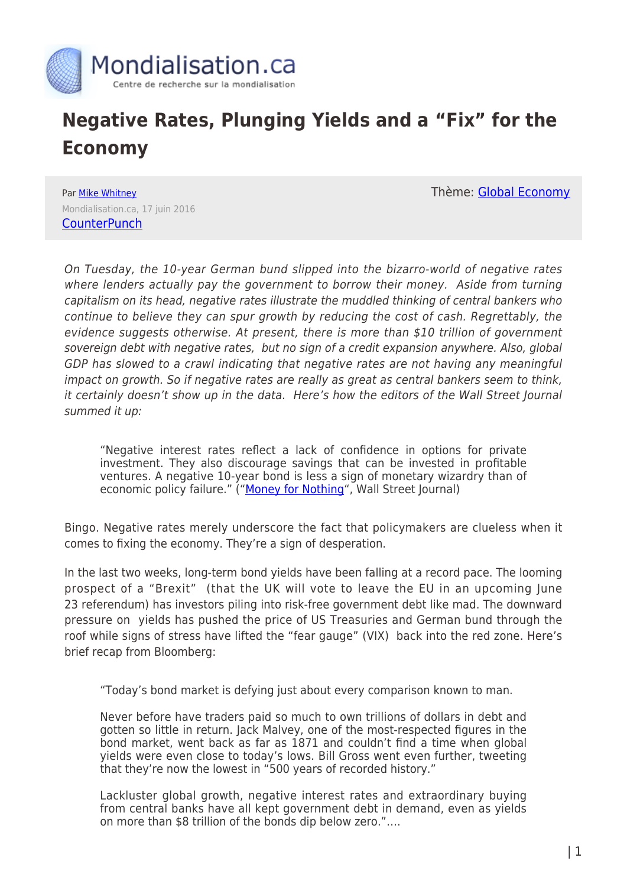

## **Negative Rates, Plunging Yields and a "Fix" for the Economy**

Thème: [Global Economy](https://www.mondialisation.ca/theme/global-economy)

Par [Mike Whitney](https://www.mondialisation.ca/author/mike-whitney) Mondialisation.ca, 17 juin 2016 **[CounterPunch](http://www.counterpunch.org/2016/06/17/negative-rates-plunging-yields-and-a-fix-for-the-economy/)** 

On Tuesday, the 10-year German bund slipped into the bizarro-world of negative rates where lenders actually pay the government to borrow their money. Aside from turning capitalism on its head, negative rates illustrate the muddled thinking of central bankers who continue to believe they can spur growth by reducing the cost of cash. Regrettably, the evidence suggests otherwise. At present, there is more than \$10 trillion of government sovereign debt with negative rates, but no sign of a credit expansion anywhere. Also, global GDP has slowed to a crawl indicating that negative rates are not having any meaningful impact on growth. So if negative rates are really as great as central bankers seem to think, it certainly doesn't show up in the data. Here's how the editors of the Wall Street Journal summed it up:

"Negative interest rates reflect a lack of confidence in options for private investment. They also discourage savings that can be invested in profitable ventures. A negative 10-year bond is less a sign of monetary wizardry than of economic policy failure." (["Money for Nothing"](http://www.wsj.com/articles/money-for-nothing-1465946880), Wall Street Journal)

Bingo. Negative rates merely underscore the fact that policymakers are clueless when it comes to fixing the economy. They're a sign of desperation.

In the last two weeks, long-term bond yields have been falling at a record pace. The looming prospect of a "Brexit" (that the UK will vote to leave the EU in an upcoming June 23 referendum) has investors piling into risk-free government debt like mad. The downward pressure on yields has pushed the price of US Treasuries and German bund through the roof while signs of stress have lifted the "fear gauge" (VIX) back into the red zone. Here's brief recap from Bloomberg:

"Today's bond market is defying just about every comparison known to man.

Never before have traders paid so much to own trillions of dollars in debt and gotten so little in return. Jack Malvey, one of the most-respected figures in the bond market, went back as far as 1871 and couldn't find a time when global yields were even close to today's lows. Bill Gross went even further, tweeting that they're now the lowest in "500 years of recorded history."

Lackluster global growth, negative interest rates and extraordinary buying from central banks have all kept government debt in demand, even as yields on more than \$8 trillion of the bonds dip below zero."….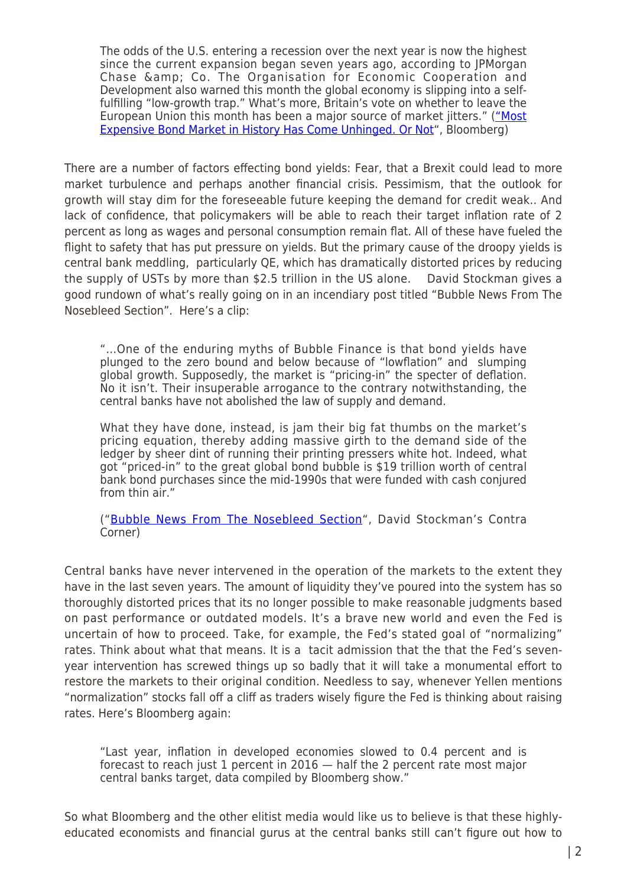The odds of the U.S. entering a recession over the next year is now the highest since the current expansion began seven years ago, according to JPMorgan Chase & amp; Co. The Organisation for Economic Cooperation and Development also warned this month the global economy is slipping into a selffulfilling "low-growth trap." What's more, Britain's vote on whether to leave the European Union this month has been a major source of market jitters." (["Most](http://www.bloomberg.com/news/articles/2016-06-13/most-expensive-bond-market-in-history-has-come-unhinged-or-not) [Expensive Bond Market in History Has Come Unhinged. Or Not](http://www.bloomberg.com/news/articles/2016-06-13/most-expensive-bond-market-in-history-has-come-unhinged-or-not)", Bloomberg)

There are a number of factors effecting bond yields: Fear, that a Brexit could lead to more market turbulence and perhaps another financial crisis. Pessimism, that the outlook for growth will stay dim for the foreseeable future keeping the demand for credit weak.. And lack of confidence, that policymakers will be able to reach their target inflation rate of 2 percent as long as wages and personal consumption remain flat. All of these have fueled the flight to safety that has put pressure on yields. But the primary cause of the droopy yields is central bank meddling, particularly QE, which has dramatically distorted prices by reducing the supply of USTs by more than \$2.5 trillion in the US alone. David Stockman gives a good rundown of what's really going on in an incendiary post titled "Bubble News From The Nosebleed Section". Here's a clip:

"…One of the enduring myths of Bubble Finance is that bond yields have plunged to the zero bound and below because of "lowflation" and slumping global growth. Supposedly, the market is "pricing-in" the specter of deflation. No it isn't. Their insuperable arrogance to the contrary notwithstanding, the central banks have not abolished the law of supply and demand.

What they have done, instead, is jam their big fat thumbs on the market's pricing equation, thereby adding massive girth to the demand side of the ledger by sheer dint of running their printing pressers white hot. Indeed, what got "priced-in" to the great global bond bubble is \$19 trillion worth of central bank bond purchases since the mid-1990s that were funded with cash conjured from thin air."

("[Bubble News From The Nosebleed Section](http://davidstockmanscontracorner.com/bubble-news-from-the-nosebleed-section/)", David Stockman's Contra Corner)

Central banks have never intervened in the operation of the markets to the extent they have in the last seven years. The amount of liquidity they've poured into the system has so thoroughly distorted prices that its no longer possible to make reasonable judgments based on past performance or outdated models. It's a brave new world and even the Fed is uncertain of how to proceed. Take, for example, the Fed's stated goal of "normalizing" rates. Think about what that means. It is a tacit admission that the that the Fed's sevenyear intervention has screwed things up so badly that it will take a monumental effort to restore the markets to their original condition. Needless to say, whenever Yellen mentions "normalization" stocks fall off a cliff as traders wisely figure the Fed is thinking about raising rates. Here's Bloomberg again:

"Last year, inflation in developed economies slowed to 0.4 percent and is forecast to reach just 1 percent in 2016 — half the 2 percent rate most major central banks target, data compiled by Bloomberg show."

So what Bloomberg and the other elitist media would like us to believe is that these highlyeducated economists and financial gurus at the central banks still can't figure out how to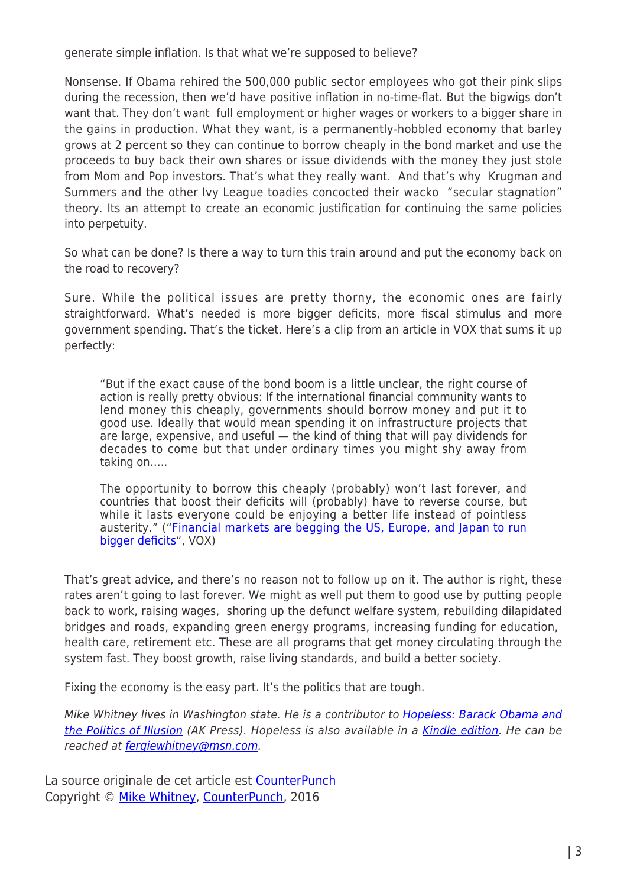generate simple inflation. Is that what we're supposed to believe?

Nonsense. If Obama rehired the 500,000 public sector employees who got their pink slips during the recession, then we'd have positive inflation in no-time-flat. But the bigwigs don't want that. They don't want full employment or higher wages or workers to a bigger share in the gains in production. What they want, is a permanently-hobbled economy that barley grows at 2 percent so they can continue to borrow cheaply in the bond market and use the proceeds to buy back their own shares or issue dividends with the money they just stole from Mom and Pop investors. That's what they really want. And that's why Krugman and Summers and the other Ivy League toadies concocted their wacko "secular stagnation" theory. Its an attempt to create an economic justification for continuing the same policies into perpetuity.

So what can be done? Is there a way to turn this train around and put the economy back on the road to recovery?

Sure. While the political issues are pretty thorny, the economic ones are fairly straightforward. What's needed is more bigger deficits, more fiscal stimulus and more government spending. That's the ticket. Here's a clip from an article in VOX that sums it up perfectly:

"But if the exact cause of the bond boom is a little unclear, the right course of action is really pretty obvious: If the international financial community wants to lend money this cheaply, governments should borrow money and put it to good use. Ideally that would mean spending it on infrastructure projects that are large, expensive, and useful — the kind of thing that will pay dividends for decades to come but that under ordinary times you might shy away from taking on…..

The opportunity to borrow this cheaply (probably) won't last forever, and countries that boost their deficits will (probably) have to reverse course, but while it lasts everyone could be enjoying a better life instead of pointless austerity." (["Financial markets are begging the US, Europe, and Japan to run](http://www.vox.com/2016/6/14/11933594/case-for-bigger-deficits) [bigger deficits](http://www.vox.com/2016/6/14/11933594/case-for-bigger-deficits)", VOX)

That's great advice, and there's no reason not to follow up on it. The author is right, these rates aren't going to last forever. We might as well put them to good use by putting people back to work, raising wages, shoring up the defunct welfare system, rebuilding dilapidated bridges and roads, expanding green energy programs, increasing funding for education, health care, retirement etc. These are all programs that get money circulating through the system fast. They boost growth, raise living standards, and build a better society.

Fixing the economy is the easy part. It's the politics that are tough.

Mike Whitney lives in Washington state. He is a contributor to [Hopeless: Barack Obama and](http://www.amazon.com/exec/obidos/ASIN/1849351104/counterpunchmaga) [the Politics of Illusion](http://www.amazon.com/exec/obidos/ASIN/1849351104/counterpunchmaga) (AK Press). Hopeless is also available in a [Kindle edition.](http://www.amazon.com/exec/obidos/ASIN/B007X497NM/counterpunchmaga) He can be reached at [fergiewhitney@msn.com](mailto:fergiewhitney@msn.com).

La source originale de cet article est [CounterPunch](http://www.counterpunch.org/2016/06/17/negative-rates-plunging-yields-and-a-fix-for-the-economy/) Copyright © [Mike Whitney](https://www.mondialisation.ca/author/mike-whitney), [CounterPunch](http://www.counterpunch.org/2016/06/17/negative-rates-plunging-yields-and-a-fix-for-the-economy/), 2016